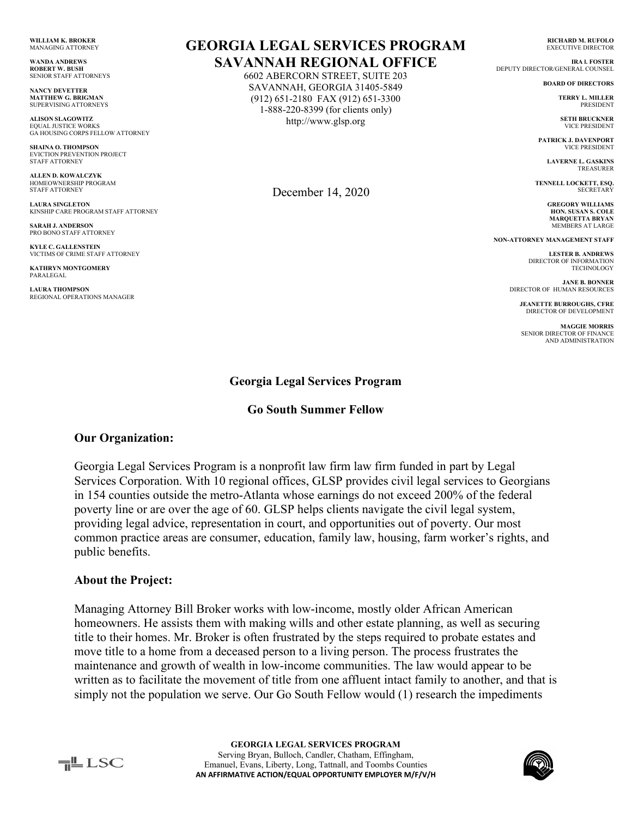**WILLIAM K. BROKER** MANAGING ATTORNEY

**WANDA ANDREWS ROBERT W. BUSH** SENIOR STAFF ATTORNEYS

**NANCY DEVETTER MATTHEW G. BRIGMAN** SUPERVISING ATTORNEYS

**ALISON SLAGOWITZ** EQUAL JUSTICE WORKS GA HOUSING CORPS FELLOW ATTORNEY

**SHAINA O. THOMPSON** EVICTION PREVENTION PROJECT STAFF ATTORNEY

**ALLEN D. KOWALCZYK** HOMEOWNERSHIP PROGRAM STAFF ATTORNEY

**LAURA SINGLETON** KINSHIP CARE PROGRAM STAFF ATTORNEY

**SARAH J. ANDERSON** PRO BONO STAFF ATTORNEY

**KYLE C. GALLENSTEIN** VICTIMS OF CRIME STAFF ATTORNEY

**KATHRYN MONTGOMERY** PARALEGAL

**LAURA THOMPSON**  REGIONAL OPERATIONS MANAGER

# **GEORGIA LEGAL SERVICES PROGRAM SAVANNAH REGIONAL OFFICE**

6602 ABERCORN STREET, SUITE 203 SAVANNAH, GEORGIA 31405-5849 (912) 651-2180 FAX (912) 651-3300 1-888-220-8399 (for clients only) http://www.glsp.org

December 14, 2020

**RICHARD M. RUFOLO** EXECUTIVE DIRECTOR

**IRA l. FOSTER** DEPUTY DIRECTOR/GENERAL COUNSEL

**BOARD OF DIRECTORS**

 **TERRY L. MILLER** PRESIDENT

**SETH BRUCKNER** VICE PRESIDENT

**PATRICK J. DAVENPORT** VICE PRESIDENT

> **LAVERNE L. GASKINS** TREASURER

**TENNELL LOCKETT, ESQ. SECRETARY** 

> **GREGORY WILLIAMS HON. SUSAN S. COLE MARQUETTA BRYAN** MEMBERS AT LARGE

**NON-ATTORNEY MANAGEMENT STAFF**

**LESTER B. ANDREWS** DIRECTOR OF INFORMATION **TECHNOLOGY** 

**JANE B. BONNER** DIRECTOR OF HUMAN RESOURCES

**JEANETTE BURROUGHS, CFRE** DIRECTOR OF DEVELOPMENT

**MAGGIE MORRIS** SENIOR DIRECTOR OF FINANCE AND ADMINISTRATION

### **Georgia Legal Services Program**

#### **Go South Summer Fellow**

### **Our Organization:**

Georgia Legal Services Program is a nonprofit law firm law firm funded in part by Legal Services Corporation. With 10 regional offices, GLSP provides civil legal services to Georgians in 154 counties outside the metro-Atlanta whose earnings do not exceed 200% of the federal poverty line or are over the age of 60. GLSP helps clients navigate the civil legal system, providing legal advice, representation in court, and opportunities out of poverty. Our most common practice areas are consumer, education, family law, housing, farm worker's rights, and public benefits.

#### **About the Project:**

Managing Attorney Bill Broker works with low-income, mostly older African American homeowners. He assists them with making wills and other estate planning, as well as securing title to their homes. Mr. Broker is often frustrated by the steps required to probate estates and move title to a home from a deceased person to a living person. The process frustrates the maintenance and growth of wealth in low-income communities. The law would appear to be written as to facilitate the movement of title from one affluent intact family to another, and that is simply not the population we serve. Our Go South Fellow would (1) research the impediments

╤╩▁LSC